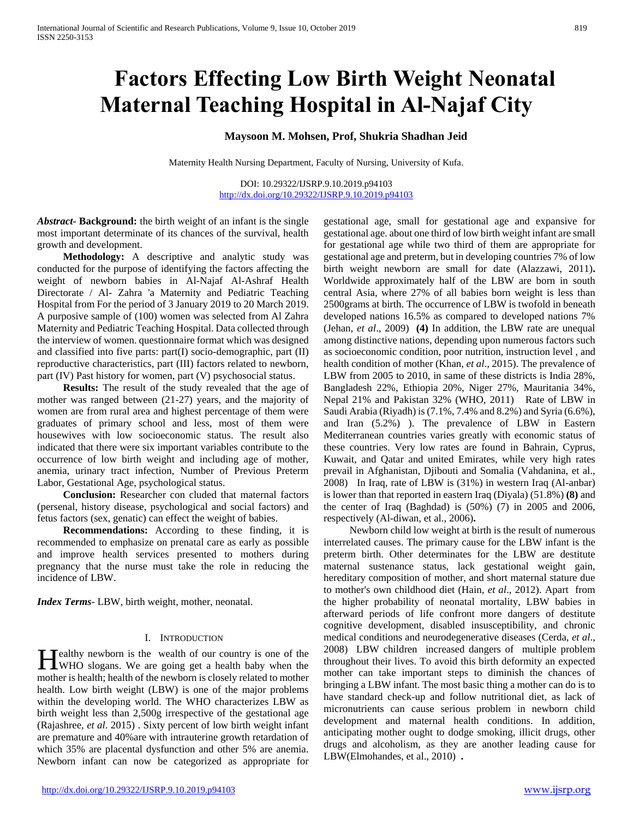# **Factors Effecting Low Birth Weight Neonatal Maternal Teaching Hospital in Al-Najaf City**

## **Maysoon M. Mohsen, Prof, Shukria Shadhan Jeid**

Maternity Health Nursing Department, Faculty of Nursing, University of Kufa.

DOI: 10.29322/IJSRP.9.10.2019.p94103 <http://dx.doi.org/10.29322/IJSRP.9.10.2019.p94103>

*Abstract***- Background:** the birth weight of an infant is the single most important determinate of its chances of the survival, health growth and development.

 **Methodology:** A descriptive and analytic study was conducted for the purpose of identifying the factors affecting the weight of newborn babies in Al-Najaf Al-Ashraf Health Directorate / Al- Zahra 'a Maternity and Pediatric Teaching Hospital from For the period of 3 January 2019 to 20 March 2019. A purposive sample of (100) women was selected from Al Zahra Maternity and Pediatric Teaching Hospital. Data collected through the interview of women. questionnaire format which was designed and classified into five parts: part(I) socio-demographic, part (II) reproductive characteristics, part (III) factors related to newborn, part (IV) Past history for women, part (V) psychosocial status.

 **Results:** The result of the study revealed that the age of mother was ranged between (21-27) years, and the majority of women are from rural area and highest percentage of them were graduates of primary school and less, most of them were housewives with low socioeconomic status. The result also indicated that there were six important variables contribute to the occurrence of low birth weight and including age of mother, anemia, urinary tract infection, Number of Previous Preterm Labor, Gestational Age, psychological status.

 **Conclusion:** Researcher con cluded that maternal factors (persenal, history disease, psychological and social factors) and fetus factors (sex, genatic) can effect the weight of babies.

 **Recommendations:** According to these finding, it is recommended to emphasize on prenatal care as early as possible and improve health services presented to mothers during pregnancy that the nurse must take the role in reducing the incidence of LBW.

*Index Terms*- LBW, birth weight, mother, neonatal.

## I. INTRODUCTION

**T**ealthy newborn is the wealth of our country is one of the Healthy newborn is the wealth of our country is one of the WHO slogans. We are going get a health baby when the mother is health; health of the newborn is closely related to mother health. Low birth weight (LBW) is one of the major problems within the developing world. The WHO characterizes LBW as birth weight less than 2,500g irrespective of the gestational age (Rajashree, *et al*. 2015) . Sixty percent of low birth weight infant are premature and 40%are with intrauterine growth retardation of which 35% are placental dysfunction and other 5% are anemia. Newborn infant can now be categorized as appropriate for

<http://dx.doi.org/10.29322/IJSRP.9.10.2019.p94103> [www.ijsrp.org](http://ijsrp.org/)

gestational age, small for gestational age and expansive for gestational age. about one third of low birth weight infant are small for gestational age while two third of them are appropriate for gestational age and preterm, but in developing countries 7% of low birth weight newborn are small for date (Alazzawi, 2011)**.** Worldwide approximately half of the LBW are born in south central Asia, where 27% of all babies born weight is less than 2500grams at birth. The occurrence of LBW is twofold in beneath developed nations 16.5% as compared to developed nations 7% (Jehan, *et al*., 2009) **(4)** In addition, the LBW rate are unequal among distinctive nations, depending upon numerous factors such as socioeconomic condition, poor nutrition, instruction level , and health condition of mother (Khan, *et al*., 2015). The prevalence of LBW from 2005 to 2010, in same of these districts is India 28%, Bangladesh 22%, Ethiopia 20%, Niger 27%, Mauritania 34%, Nepal 21% and Pakistan 32% (WHO, 2011) Rate of LBW in Saudi Arabia (Riyadh) is (7.1%, 7.4% and 8.2%) and Syria (6.6%), and Iran (5.2%) ). The prevalence of LBW in Eastern Mediterranean countries varies greatly with economic status of these countries. Very low rates are found in Bahrain, Cyprus, Kuwait, and Qatar and united Emirates, while very high rates prevail in Afghanistan, Djibouti and Somalia (Vahdanina, et al., 2008)In Iraq, rate of LBW is (31%) in western Iraq (Al-anbar) is lower than that reported in eastern Iraq (Diyala) (51.8%) **(8)** and the center of Iraq (Baghdad) is (50%) (7) in 2005 and 2006, respectively (Al-diwan, et al., 2006)**.**

 Newborn child low weight at birth is the result of numerous interrelated causes. The primary cause for the LBW infant is the preterm birth. Other determinates for the LBW are destitute maternal sustenance status, lack gestational weight gain, hereditary composition of mother, and short maternal stature due to mother's own childhood diet (Hain, *et al*., 2012). Apart from the higher probability of neonatal mortality, LBW babies in afterward periods of life confront more dangers of destitute cognitive development, disabled insusceptibility, and chronic medical conditions and neurodegenerative diseases (Cerda, *et al*., 2008) LBW children increased dangers of multiple problem throughout their lives. To avoid this birth deformity an expected mother can take important steps to diminish the chances of bringing a LBW infant. The most basic thing a mother can do is to have standard check-up and follow nutritional diet, as lack of micronutrients can cause serious problem in newborn child development and maternal health conditions. In addition, anticipating mother ought to dodge smoking, illicit drugs, other drugs and alcoholism, as they are another leading cause for LBW(Elmohandes, et al., 2010) **.**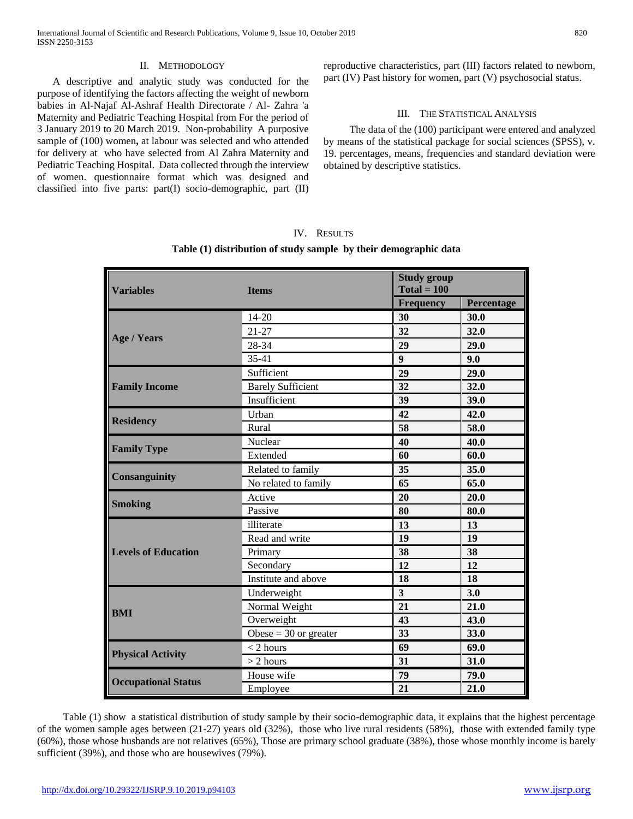## II. METHODOLOGY

 A descriptive and analytic study was conducted for the purpose of identifying the factors affecting the weight of newborn babies in Al-Najaf Al-Ashraf Health Directorate / Al- Zahra 'a Maternity and Pediatric Teaching Hospital from For the period of 3 January 2019 to 20 March 2019. Non-probability A purposive sample of (100) women**,** at labour was selected and who attended for delivery at who have selected from Al Zahra Maternity and Pediatric Teaching Hospital. Data collected through the interview of women. questionnaire format which was designed and classified into five parts: part(I) socio-demographic, part (II) reproductive characteristics, part (III) factors related to newborn, part (IV) Past history for women, part (V) psychosocial status.

## III. THE STATISTICAL ANALYSIS

 The data of the (100) participant were entered and analyzed by means of the statistical package for social sciences (SPSS), v. 19. percentages, means, frequencies and standard deviation were obtained by descriptive statistics.

| <b>Variables</b>           | <b>Items</b>             | <b>Study group</b><br>$Total = 100$ |            |
|----------------------------|--------------------------|-------------------------------------|------------|
|                            |                          | <b>Frequency</b>                    | Percentage |
| <b>Age / Years</b>         | 14-20                    | 30                                  | 30.0       |
|                            | $21 - 27$                | 32                                  | 32.0       |
|                            | 28-34                    | 29                                  | 29.0       |
|                            | 35-41                    | $\boldsymbol{9}$                    | 9.0        |
| <b>Family Income</b>       | Sufficient               | 29                                  | 29.0       |
|                            | <b>Barely Sufficient</b> | 32                                  | 32.0       |
|                            | Insufficient             | 39                                  | 39.0       |
|                            | Urban                    | 42                                  | 42.0       |
| <b>Residency</b>           | Rural                    | $\overline{58}$                     | 58.0       |
| <b>Family Type</b>         | Nuclear                  | 40                                  | 40.0       |
|                            | Extended                 | 60                                  | 60.0       |
| <b>Consanguinity</b>       | Related to family        | 35                                  | 35.0       |
|                            | No related to family     | 65                                  | 65.0       |
| <b>Smoking</b>             | Active                   | 20                                  | 20.0       |
|                            | Passive                  | 80                                  | 80.0       |
|                            | illiterate               | 13                                  | 13         |
|                            | Read and write           | 19                                  | 19         |
| <b>Levels of Education</b> | Primary                  | 38                                  | 38         |
|                            | Secondary                | 12                                  | 12         |
|                            | Institute and above      | 18                                  | 18         |
|                            | Underweight              | $\overline{\mathbf{3}}$             | 3.0        |
| <b>BMI</b>                 | Normal Weight            | $\overline{21}$                     | 21.0       |
|                            | Overweight               | 43                                  | 43.0       |
|                            | Obese = $30$ or greater  | 33                                  | 33.0       |
| <b>Physical Activity</b>   | $<$ 2 hours              | 69                                  | 69.0       |
|                            | $> 2$ hours              | 31                                  | 31.0       |
|                            | House wife               | 79                                  | 79.0       |
| <b>Occupational Status</b> | Employee                 | 21                                  | 21.0       |

# IV. RESULTS **Table (1) distribution of study sample by their demographic data**

 Table (1) show a statistical distribution of study sample by their socio-demographic data, it explains that the highest percentage of the women sample ages between (21-27) years old (32%), those who live rural residents (58%), those with extended family type (60%), those whose husbands are not relatives (65%), Those are primary school graduate (38%), those whose monthly income is barely sufficient (39%), and those who are housewives (79%).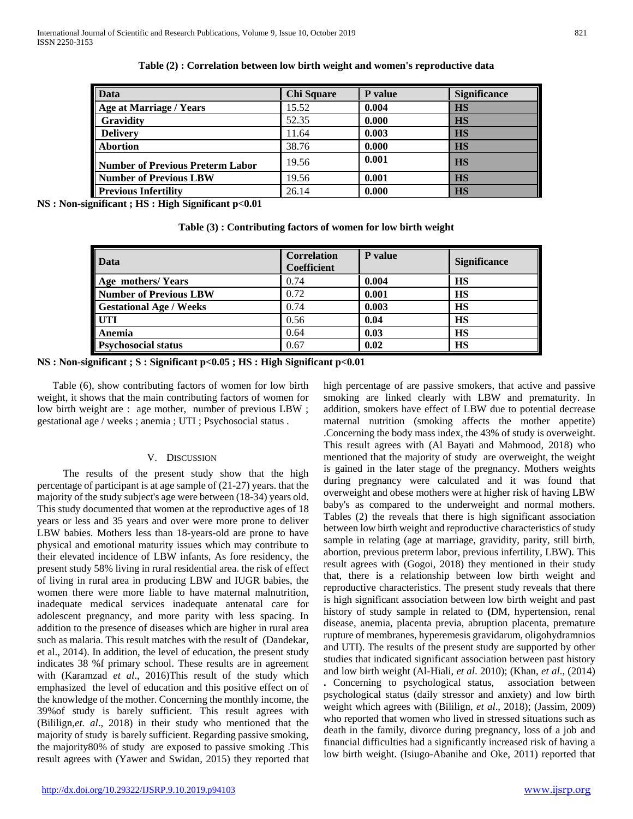| Data                                    | <b>Chi Square</b> | P value | <b>Significance</b> |
|-----------------------------------------|-------------------|---------|---------------------|
| Age at Marriage / Years                 | 15.52             | 0.004   | <b>HS</b>           |
| <b>Gravidity</b>                        | 52.35             | 0.000   | <b>HS</b>           |
| <b>Delivery</b>                         | 11.64             | 0.003   | <b>HS</b>           |
| <b>Abortion</b>                         | 38.76             | 0.000   | <b>HS</b>           |
| <b>Number of Previous Preterm Labor</b> | 19.56             | 0.001   | <b>HS</b>           |
| <b>Number of Previous LBW</b>           | 19.56             | 0.001   | <b>HS</b>           |
| <b>Previous Infertility</b>             | 26.14             | 0.000   | <b>HS</b>           |

**Table (2) : Correlation between low birth weight and women's reproductive data**

**NS : Non-significant ; HS : High Significant p<0.01**

| <b>Data</b>                    | <b>Correlation</b><br>Coefficient | P value | <b>Significance</b> |
|--------------------------------|-----------------------------------|---------|---------------------|
| Age mothers/Years              | 0.74                              | 0.004   | <b>HS</b>           |
| <b>Number of Previous LBW</b>  | 0.72                              | 0.001   | <b>HS</b>           |
| <b>Gestational Age / Weeks</b> | 0.74                              | 0.003   | <b>HS</b>           |
| <b>UTI</b>                     | 0.56                              | 0.04    | <b>HS</b>           |
| Anemia                         | 0.64                              | 0.03    | <b>HS</b>           |
| <b>Psychosocial status</b>     | 0.67                              | 0.02    | <b>HS</b>           |

**Table (3) : Contributing factors of women for low birth weight**

**NS : Non-significant ; S : Significant p<0.05 ; HS : High Significant p<0.01**

 Table (6), show contributing factors of women for low birth weight, it shows that the main contributing factors of women for low birth weight are : age mother, number of previous LBW ; gestational age / weeks ; anemia ; UTI ; Psychosocial status .

## V. DISCUSSION

 The results of the present study show that the high percentage of participant is at age sample of (21-27) years. that the majority of the study subject's age were between (18-34) years old. This study documented that women at the reproductive ages of 18 years or less and 35 years and over were more prone to deliver LBW babies. Mothers less than 18-years-old are prone to have physical and emotional maturity issues which may contribute to their elevated incidence of LBW infants, As fore residency, the present study 58% living in rural residential area. the risk of effect of living in rural area in producing LBW and IUGR babies, the women there were more liable to have maternal malnutrition, inadequate medical services inadequate antenatal care for adolescent pregnancy, and more parity with less spacing. In addition to the presence of diseases which are higher in rural area such as malaria. This result matches with the result of (Dandekar, et al., 2014). In addition, the level of education, the present study indicates 38 %f primary school. These results are in agreement with (Karamzad *et al*., 2016)This result of the study which emphasized the level of education and this positive effect on of the knowledge of the mother. Concerning the monthly income, the 39%of study is barely sufficient. This result agrees with (Bililign,*et. al*., 2018) in their study who mentioned that the majority of study is barely sufficient. Regarding passive smoking, the majority80% of study are exposed to passive smoking .This result agrees with (Yawer and Swidan, 2015) they reported that

high percentage of are passive smokers, that active and passive smoking are linked clearly with LBW and prematurity. In addition, smokers have effect of LBW due to potential decrease maternal nutrition (smoking affects the mother appetite) .Concerning the body mass index, the 43% of study is overweight. This result agrees with (Al Bayati and Mahmood, 2018) who mentioned that the majority of study are overweight, the weight is gained in the later stage of the pregnancy. Mothers weights during pregnancy were calculated and it was found that overweight and obese mothers were at higher risk of having LBW baby's as compared to the underweight and normal mothers. Tables (2) the reveals that there is high significant association between low birth weight and reproductive characteristics of study sample in relating (age at marriage, gravidity, parity, still birth, abortion, previous preterm labor, previous infertility, LBW). This result agrees with (Gogoi, 2018) they mentioned in their study that, there is a relationship between low birth weight and reproductive characteristics. The present study reveals that there is high significant association between low birth weight and past history of study sample in related to **(**DM, hypertension, renal disease, anemia, placenta previa, abruption placenta, premature rupture of membranes, hyperemesis gravidarum, oligohydramnios and UTI). The results of the present study are supported by other studies that indicated significant association between past history and low birth weight (Al-Hiali, *et al*. 2010); (Khan, *et al*., (2014) **.** Concerning to psychological status, association between psychological status (daily stressor and anxiety) and low birth weight which agrees with (Bililign, *et al*., 2018); (Jassim, 2009) who reported that women who lived in stressed situations such as

death in the family, divorce during pregnancy, loss of a job and financial difficulties had a significantly increased risk of having a low birth weight. (Isiugo-Abanihe and Oke, 2011) reported that